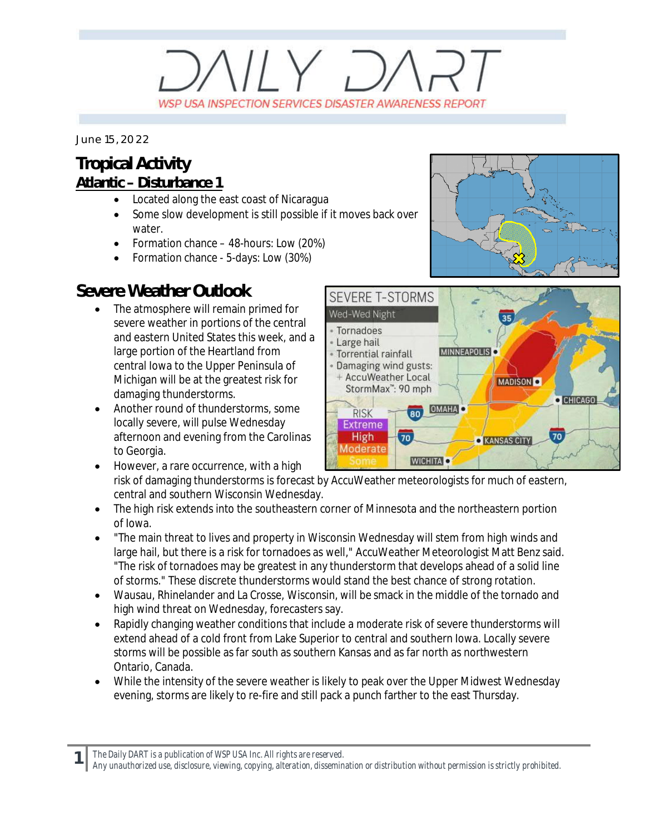## $11 \times 7$ WSP USA INSPECTION SERVICES DISASTER AWARENESS REPORT

*June 15, 2022*

#### **Tropical Activity Atlantic – Disturbance 1**

- · Located along the east coast of Nicaragua
- Some slow development is still possible if it moves back over water
- · Formation chance 48-hours: Low (20%)
- · Formation chance 5-days: Low (30%)

### **Severe Weather Outlook**

- The atmosphere will remain primed for severe weather in portions of the central and eastern United States this week, and a large portion of the Heartland from central Iowa to the Upper Peninsula of Michigan will be at the greatest risk for damaging thunderstorms.
- · Another round of thunderstorms, some locally severe, will pulse Wednesday afternoon and evening from the Carolinas to Georgia.
- However, a rare occurrence, with a high risk of damaging thunderstorms is forecast by AccuWeather meteorologists for much of eastern, central and southern Wisconsin Wednesday.
- · The high risk extends into the southeastern corner of Minnesota and the northeastern portion of Iowa.
- · "The main threat to lives and property in Wisconsin Wednesday will stem from high winds and large hail, but there is a risk for tornadoes as well," AccuWeather Meteorologist Matt Benz said. "The risk of tornadoes may be greatest in any thunderstorm that develops ahead of a solid line of storms." These discrete thunderstorms would stand the best chance of strong rotation.
- · Wausau, Rhinelander and La Crosse, Wisconsin, will be smack in the middle of the tornado and high wind threat on Wednesday, forecasters say.
- · Rapidly changing weather conditions that include a moderate risk of severe thunderstorms will extend ahead of a cold front from Lake Superior to central and southern Iowa. Locally severe storms will be possible as far south as southern Kansas and as far north as northwestern Ontario, Canada.
- · While the intensity of the severe weather is likely to peak over the Upper Midwest Wednesday evening, storms are likely to re-fire and still pack a punch farther to the east Thursday.

*The Daily DART is a publication of WSP USA Inc. All rights are reserved.*

**1**

*Any unauthorized use, disclosure, viewing, copying, alteration, dissemination or distribution without permission is strictly prohibited.*



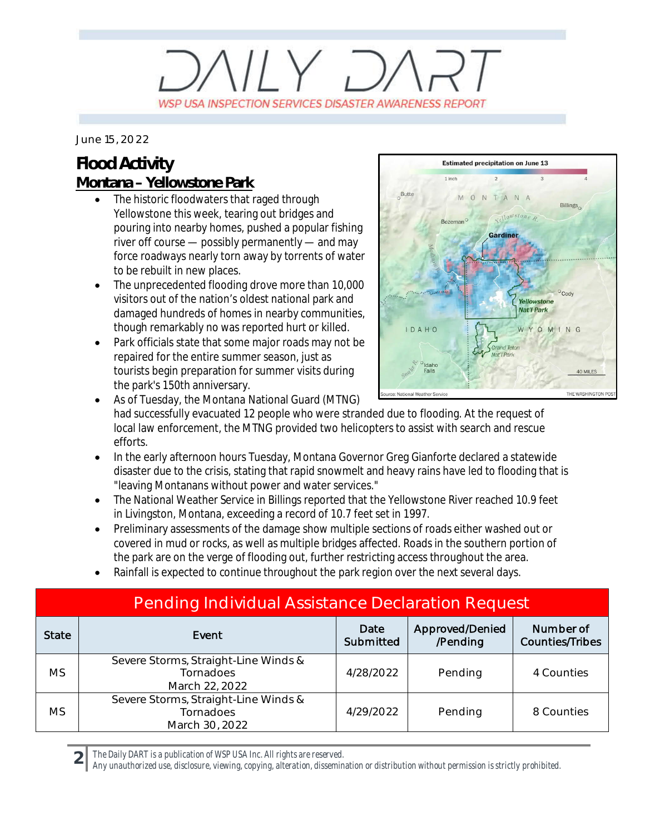# $11Y.$ WSP USA INSPECTION SERVICES DISASTER AWARENESS REPORT

*June 15, 2022*

### **Flood Activity Montana – Yellowstone Park**

- The historic floodwaters that raged through Yellowstone this week, tearing out bridges and pouring into nearby homes, pushed a popular fishing river off course — possibly permanently — and may force roadways nearly torn away by torrents of water to be rebuilt in new places.
- · The unprecedented flooding drove more than 10,000 visitors out of the nation's oldest national park and damaged hundreds of homes in nearby communities, though remarkably no was reported hurt or killed.
- Park officials state that some major roads may not be repaired for the entire summer season, just as tourists begin preparation for summer visits during the park's 150th anniversary.



- As of Tuesday, the Montana National Guard (MTNG) had successfully evacuated 12 people who were stranded due to flooding. At the request of local law enforcement, the MTNG provided two helicopters to assist with search and rescue efforts.
- In the early afternoon hours Tuesday, Montana Governor Greg Gianforte declared a statewide disaster due to the crisis, stating that rapid snowmelt and heavy rains have led to flooding that is "leaving Montanans without power and water services."
- · The National Weather Service in Billings reported that the Yellowstone River reached 10.9 feet in Livingston, Montana, exceeding a record of 10.7 feet set in 1997.
- · Preliminary assessments of the damage show multiple sections of roads either washed out or covered in mud or rocks, as well as multiple bridges affected. Roads in the southern portion of the park are on the verge of flooding out, further restricting access throughout the area.
- Rainfall is expected to continue throughout the park region over the next several days.

| <b>Pending Individual Assistance Declaration Request</b> |                                                                     |                   |                             |                                     |  |  |
|----------------------------------------------------------|---------------------------------------------------------------------|-------------------|-----------------------------|-------------------------------------|--|--|
| <b>State</b>                                             | Event                                                               | Date<br>Submitted | Approved/Denied<br>/Pending | Number of<br><b>Counties/Tribes</b> |  |  |
| <b>MS</b>                                                | Severe Storms, Straight-Line Winds &<br>Tornadoes<br>March 22, 2022 | 4/28/2022         | Pending                     | 4 Counties                          |  |  |
| <b>MS</b>                                                | Severe Storms, Straight-Line Winds &<br>Tornadoes<br>March 30, 2022 | 4/29/2022         | Pending                     | 8 Counties                          |  |  |

*The Daily DART is a publication of WSP USA Inc. All rights are reserved.*

**2**

*Any unauthorized use, disclosure, viewing, copying, alteration, dissemination or distribution without permission is strictly prohibited.*